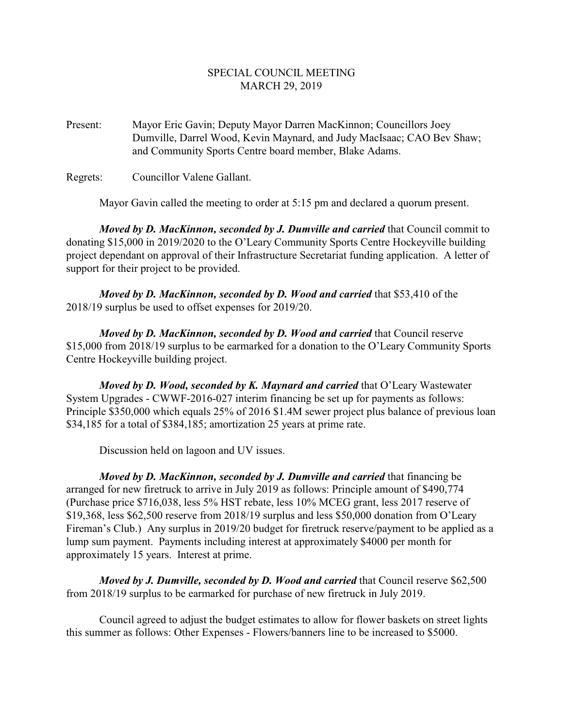## SPECIAL COUNCIL MEETING MARCH 29, 2019

Present: Mayor Eric Gavin; Deputy Mayor Darren MacKinnon; Councillors Joey Dumville, Darrel Wood, Kevin Maynard, and Judy MacIsaac; CAO Bev Shaw; and Community Sports Centre board member, Blake Adams.

Regrets: Councillor Valene Gallant.

Mayor Gavin called the meeting to order at 5:15 pm and declared a quorum present.

*Moved by D. MacKinnon, seconded by J. Dumville and carried that Council commit to* donating \$15,000 in 2019/2020 to the O'Leary Community Sports Centre Hockeyville building project dependant on approval of their Infrastructure Secretariat funding application. A letter of support for their project to be provided.

*Moved by D. MacKinnon, seconded by D. Wood and carried* that \$53,410 of the 2018/19 surplus be used to offset expenses for 2019/20.

*Moved by D. MacKinnon, seconded by D. Wood and carried* that Council reserve \$15,000 from 2018/19 surplus to be earmarked for a donation to the O'Leary Community Sports Centre Hockeyville building project.

*Moved by D. Wood, seconded by K. Maynard and carried* that O'Leary Wastewater System Upgrades - CWWF-2016-027 interim financing be set up for payments as follows: Principle \$350,000 which equals 25% of 2016 \$1.4M sewer project plus balance of previous loan \$34,185 for a total of \$384,185; amortization 25 years at prime rate.

Discussion held on lagoon and UV issues.

*Moved by D. MacKinnon, seconded by J. Dumville and carried that financing be* arranged for new firetruck to arrive in July 2019 as follows: Principle amount of \$490,774 (Purchase price \$716,038, less 5% HST rebate, less 10% MCEG grant, less 2017 reserve of \$19,368, less \$62,500 reserve from 2018/19 surplus and less \$50,000 donation from O'Leary Fireman's Club.) Any surplus in 2019/20 budget for firetruck reserve/payment to be applied as a lump sum payment. Payments including interest at approximately \$4000 per month for approximately 15 years. Interest at prime.

*Moved by J. Dumville, seconded by D. Wood and carried that Council reserve* \$62,500 from 2018/19 surplus to be earmarked for purchase of new firetruck in July 2019.

Council agreed to adjust the budget estimates to allow for flower baskets on street lights this summer as follows: Other Expenses - Flowers/banners line to be increased to \$5000.